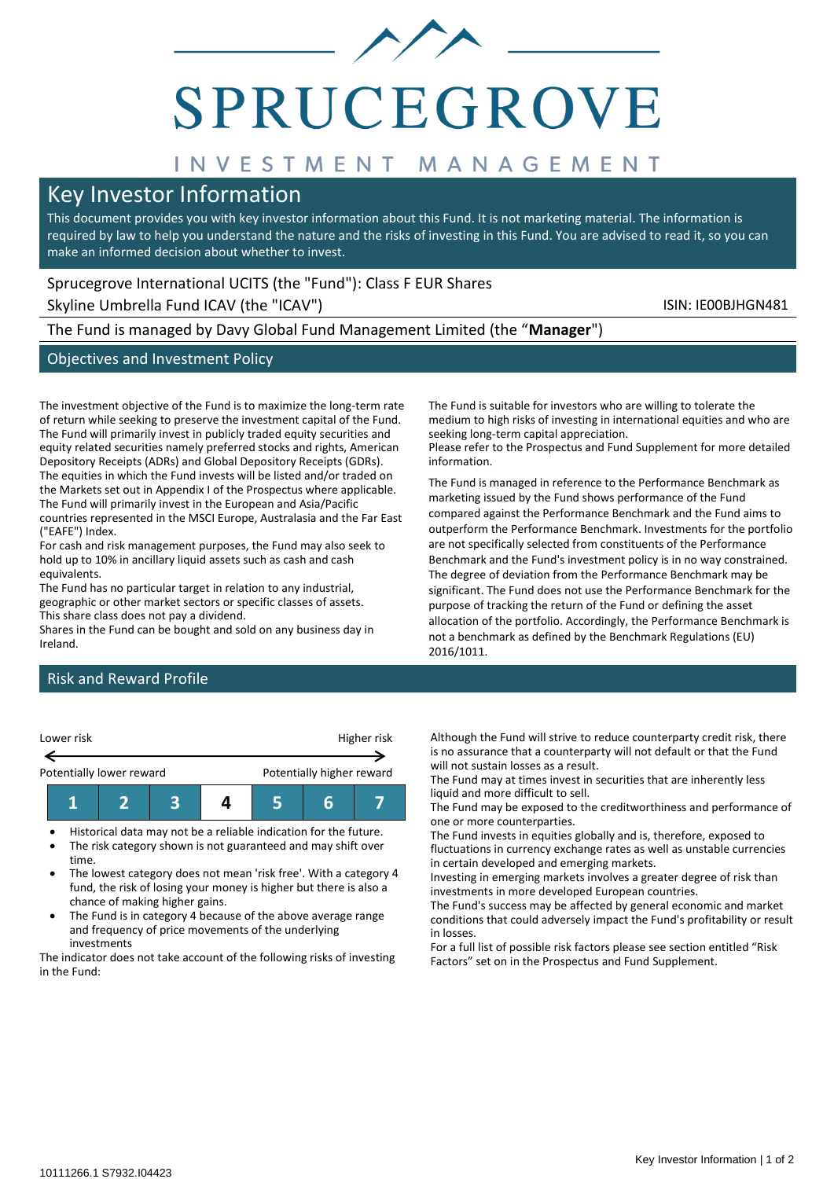

# SPRUCEGROVE

## INVESTMENT MANAGEMENT

### Key Investor Information

This document provides you with key investor information about this Fund. It is not marketing material. The information is required by law to help you understand the nature and the risks of investing in this Fund. You are advised to read it, so you can make an informed decision about whether to invest.

#### Sprucegrove International UCITS (the "Fund"): Class F EUR Shares

Skyline Umbrella Fund ICAV (the "ICAV") Skyline Umbrella Fund ICAV (the "ICAV")

The Fund is managed by Davy Global Fund Management Limited (the "**Manager**")

#### Objectives and Investment Policy

The investment objective of the Fund is to maximize the long-term rate of return while seeking to preserve the investment capital of the Fund. The Fund will primarily invest in publicly traded equity securities and equity related securities namely preferred stocks and rights, American Depository Receipts (ADRs) and Global Depository Receipts (GDRs). The equities in which the Fund invests will be listed and/or traded on the Markets set out in Appendix I of the Prospectus where applicable. The Fund will primarily invest in the European and Asia/Pacific countries represented in the MSCI Europe, Australasia and the Far East ("EAFE") Index.

For cash and risk management purposes, the Fund may also seek to hold up to 10% in ancillary liquid assets such as cash and cash equivalents.

The Fund has no particular target in relation to any industrial, geographic or other market sectors or specific classes of assets. This share class does not pay a dividend.

Shares in the Fund can be bought and sold on any business day in Ireland.

Risk and Reward Profile



- Historical data may not be a reliable indication for the future.
- The risk category shown is not guaranteed and may shift over time.
- The lowest category does not mean 'risk free'. With a category 4 fund, the risk of losing your money is higher but there is also a chance of making higher gains.
- The Fund is in category 4 because of the above average range and frequency of price movements of the underlying investments

The indicator does not take account of the following risks of investing in the Fund:

The Fund is suitable for investors who are willing to tolerate the medium to high risks of investing in international equities and who are seeking long-term capital appreciation. Please refer to the Prospectus and Fund Supplement for more detailed

information.

The Fund is managed in reference to the Performance Benchmark as marketing issued by the Fund shows performance of the Fund compared against the Performance Benchmark and the Fund aims to outperform the Performance Benchmark. Investments for the portfolio are not specifically selected from constituents of the Performance Benchmark and the Fund's investment policy is in no way constrained. The degree of deviation from the Performance Benchmark may be significant. The Fund does not use the Performance Benchmark for the purpose of tracking the return of the Fund or defining the asset allocation of the portfolio. Accordingly, the Performance Benchmark is not a benchmark as defined by the Benchmark Regulations (EU) 2016/1011.

Although the Fund will strive to reduce counterparty credit risk, there is no assurance that a counterparty will not default or that the Fund will not sustain losses as a result.

The Fund may at times invest in securities that are inherently less liquid and more difficult to sell.

The Fund may be exposed to the creditworthiness and performance of one or more counterparties.

The Fund invests in equities globally and is, therefore, exposed to fluctuations in currency exchange rates as well as unstable currencies in certain developed and emerging markets.

Investing in emerging markets involves a greater degree of risk than investments in more developed European countries.

The Fund's success may be affected by general economic and market conditions that could adversely impact the Fund's profitability or result in losses.

For a full list of possible risk factors please see section entitled "Risk Factors" set on in the Prospectus and Fund Supplement.